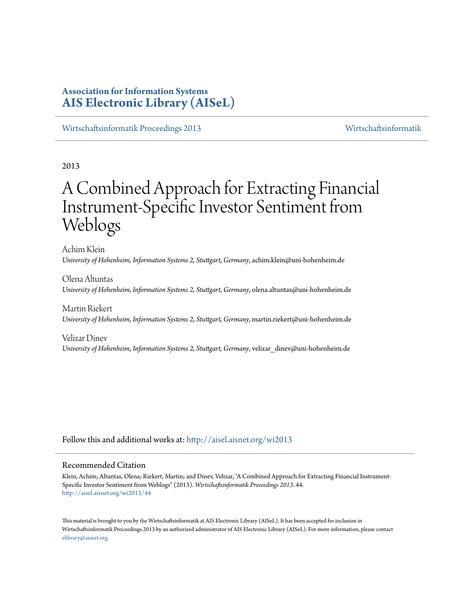# **Association for Information Systems [AIS Electronic Library \(AISeL\)](http://aisel.aisnet.org?utm_source=aisel.aisnet.org%2Fwi2013%2F44&utm_medium=PDF&utm_campaign=PDFCoverPages)**

[Wirtschaftsinformatik Proceedings 2013](http://aisel.aisnet.org/wi2013?utm_source=aisel.aisnet.org%2Fwi2013%2F44&utm_medium=PDF&utm_campaign=PDFCoverPages) [Wirtschaftsinformatik](http://aisel.aisnet.org/wi?utm_source=aisel.aisnet.org%2Fwi2013%2F44&utm_medium=PDF&utm_campaign=PDFCoverPages)

2013

# A Combined Approach for Extracting Financial Instrument-Specific Investor Sentiment from Weblogs

Achim Klein *University of Hohenheim, Information Systems 2, Stuttgart, Germany*, achim.klein@uni-hohenheim.de

Olena Altuntas *University of Hohenheim, Information Systems 2, Stuttgart, Germany*, olena.altuntas@uni-hohenheim.de

Martin Riekert *University of Hohenheim, Information Systems 2, Stuttgart, Germany*, martin.riekert@uni-hohenheim.de

Velizar Dinev *University of Hohenheim, Information Systems 2, Stuttgart, Germany*, velizar\_dinev@uni-hohenheim.de

Follow this and additional works at: [http://aisel.aisnet.org/wi2013](http://aisel.aisnet.org/wi2013?utm_source=aisel.aisnet.org%2Fwi2013%2F44&utm_medium=PDF&utm_campaign=PDFCoverPages)

# Recommended Citation

Klein, Achim; Altuntas, Olena; Riekert, Martin; and Dinev, Velizar, "A Combined Approach for Extracting Financial Instrument-Specific Investor Sentiment from Weblogs" (2013). *Wirtschaftsinformatik Proceedings 2013*. 44. [http://aisel.aisnet.org/wi2013/44](http://aisel.aisnet.org/wi2013/44?utm_source=aisel.aisnet.org%2Fwi2013%2F44&utm_medium=PDF&utm_campaign=PDFCoverPages)

This material is brought to you by the Wirtschaftsinformatik at AIS Electronic Library (AISeL). It has been accepted for inclusion in Wirtschaftsinformatik Proceedings 2013 by an authorized administrator of AIS Electronic Library (AISeL). For more information, please contact [elibrary@aisnet.org.](mailto:elibrary@aisnet.org%3E)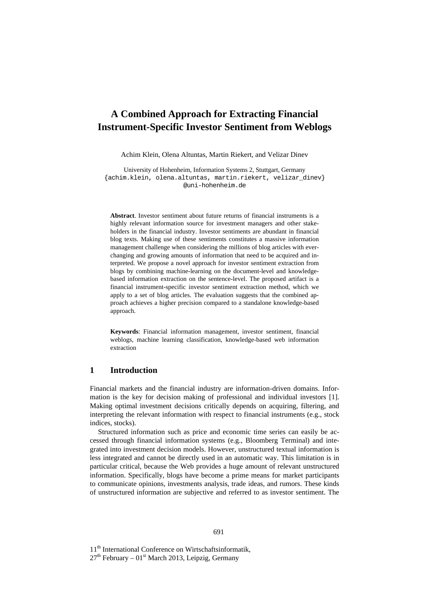# **A Combined Approach for Extracting Financial Instrument-Specific Investor Sentiment from Weblogs**

Achim Klein, Olena Altuntas, Martin Riekert, and Velizar Dinev

University of Hohenheim, Information Systems 2, Stuttgart, Germany {achim.klein, olena.altuntas, martin.riekert, velizar\_dinev} @uni-hohenheim.de

**Abstract**. Investor sentiment about future returns of financial instruments is a highly relevant information source for investment managers and other stakeholders in the financial industry. Investor sentiments are abundant in financial blog texts. Making use of these sentiments constitutes a massive information management challenge when considering the millions of blog articles with everchanging and growing amounts of information that need to be acquired and interpreted. We propose a novel approach for investor sentiment extraction from blogs by combining machine-learning on the document-level and knowledgebased information extraction on the sentence-level. The proposed artifact is a financial instrument-specific investor sentiment extraction method, which we apply to a set of blog articles. The evaluation suggests that the combined approach achieves a higher precision compared to a standalone knowledge-based approach.

**Keywords**: Financial information management, investor sentiment, financial weblogs, machine learning classification, knowledge-based web information extraction

# **1 Introduction**

Financial markets and the financial industry are information-driven domains. Information is the key for decision making of professional and individual investors [1]. Making optimal investment decisions critically depends on acquiring, filtering, and interpreting the relevant information with respect to financial instruments (e.g., stock indices, stocks).

Structured information such as price and economic time series can easily be accessed through financial information systems (e.g., Bloomberg Terminal) and integrated into investment decision models. However, unstructured textual information is less integrated and cannot be directly used in an automatic way. This limitation is in particular critical, because the Web provides a huge amount of relevant unstructured information. Specifically, blogs have become a prime means for market participants to communicate opinions, investments analysis, trade ideas, and rumors. These kinds of unstructured information are subjective and referred to as investor sentiment. The

11<sup>th</sup> International Conference on Wirtschaftsinformatik,

 $27<sup>th</sup>$  February – 01<sup>st</sup> March 2013, Leipzig, Germany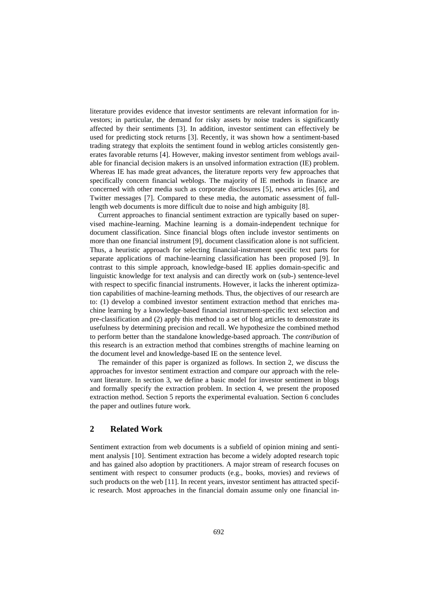literature provides evidence that investor sentiments are relevant information for investors; in particular, the demand for risky assets by noise traders is significantly affected by their sentiments [3]. In addition, investor sentiment can effectively be used for predicting stock returns [3]. Recently, it was shown how a sentiment-based trading strategy that exploits the sentiment found in weblog articles consistently generates favorable returns [4]. However, making investor sentiment from weblogs available for financial decision makers is an unsolved information extraction (IE) problem. Whereas IE has made great advances, the literature reports very few approaches that specifically concern financial weblogs. The majority of IE methods in finance are concerned with other media such as corporate disclosures [5], news articles [6], and Twitter messages [7]. Compared to these media, the automatic assessment of fulllength web documents is more difficult due to noise and high ambiguity [8].

Current approaches to financial sentiment extraction are typically based on supervised machine-learning. Machine learning is a domain-independent technique for document classification. Since financial blogs often include investor sentiments on more than one financial instrument [9], document classification alone is not sufficient. Thus, a heuristic approach for selecting financial-instrument specific text parts for separate applications of machine-learning classification has been proposed [9]. In contrast to this simple approach, knowledge-based IE applies domain-specific and linguistic knowledge for text analysis and can directly work on (sub-) sentence-level with respect to specific financial instruments. However, it lacks the inherent optimization capabilities of machine-learning methods. Thus, the objectives of our research are to: (1) develop a combined investor sentiment extraction method that enriches machine learning by a knowledge-based financial instrument-specific text selection and pre-classification and (2) apply this method to a set of blog articles to demonstrate its usefulness by determining precision and recall. We hypothesize the combined method to perform better than the standalone knowledge-based approach. The *contribution* of this research is an extraction method that combines strengths of machine learning on the document level and knowledge-based IE on the sentence level.

The remainder of this paper is organized as follows. In section 2, we discuss the approaches for investor sentiment extraction and compare our approach with the relevant literature. In section 3, we define a basic model for investor sentiment in blogs and formally specify the extraction problem. In section 4, we present the proposed extraction method. Section 5 reports the experimental evaluation. Section 6 concludes the paper and outlines future work.

# **2 Related Work**

Sentiment extraction from web documents is a subfield of opinion mining and sentiment analysis [10]. Sentiment extraction has become a widely adopted research topic and has gained also adoption by practitioners. A major stream of research focuses on sentiment with respect to consumer products (e.g., books, movies) and reviews of such products on the web [11]. In recent years, investor sentiment has attracted specific research. Most approaches in the financial domain assume only one financial in-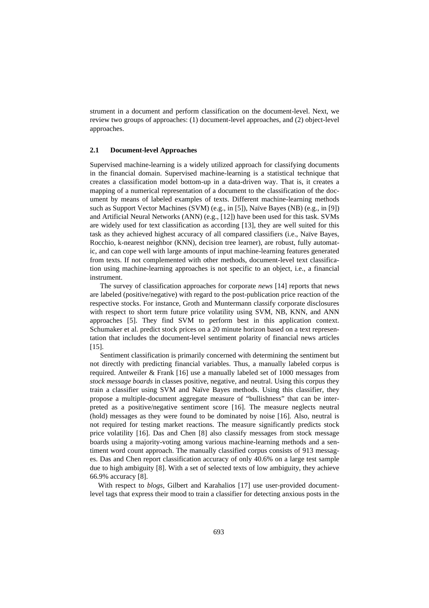strument in a document and perform classification on the document-level. Next, we review two groups of approaches: (1) document-level approaches, and (2) object-level approaches.

#### **2.1 Document-level Approaches**

Supervised machine-learning is a widely utilized approach for classifying documents in the financial domain. Supervised machine-learning is a statistical technique that creates a classification model bottom-up in a data-driven way. That is, it creates a mapping of a numerical representation of a document to the classification of the document by means of labeled examples of texts. Different machine-learning methods such as Support Vector Machines (SVM) (e.g., in [5]), Naïve Bayes (NB) (e.g., in [9]) and Artificial Neural Networks (ANN) (e.g., [12]) have been used for this task. SVMs are widely used for text classification as according [13], they are well suited for this task as they achieved highest accuracy of all compared classifiers (i.e., Naïve Bayes, Rocchio, k-nearest neighbor (KNN), decision tree learner), are robust, fully automatic, and can cope well with large amounts of input machine-learning features generated from texts. If not complemented with other methods, document-level text classification using machine-learning approaches is not specific to an object, i.e., a financial instrument.

The survey of classification approaches for corporate *news* [14] reports that news are labeled (positive/negative) with regard to the post-publication price reaction of the respective stocks. For instance, Groth and Muntermann classify corporate disclosures with respect to short term future price volatility using SVM, NB, KNN, and ANN approaches [5]. They find SVM to perform best in this application context. Schumaker et al. predict stock prices on a 20 minute horizon based on a text representation that includes the document-level sentiment polarity of financial news articles [15].

Sentiment classification is primarily concerned with determining the sentiment but not directly with predicting financial variables. Thus, a manually labeled corpus is required. Antweiler & Frank [16] use a manually labeled set of 1000 messages from *stock message boards* in classes positive, negative, and neutral. Using this corpus they train a classifier using SVM and Naïve Bayes methods. Using this classifier, they propose a multiple-document aggregate measure of "bullishness" that can be interpreted as a positive/negative sentiment score [16]. The measure neglects neutral (hold) messages as they were found to be dominated by noise [16]. Also, neutral is not required for testing market reactions. The measure significantly predicts stock price volatility [16]. Das and Chen [8] also classify messages from stock message boards using a majority-voting among various machine-learning methods and a sentiment word count approach. The manually classified corpus consists of 913 messages. Das and Chen report classification accuracy of only 40.6% on a large test sample due to high ambiguity [8]. With a set of selected texts of low ambiguity, they achieve 66.9% accuracy [8].

With respect to *blogs*, Gilbert and Karahalios [17] use user-provided documentlevel tags that express their mood to train a classifier for detecting anxious posts in the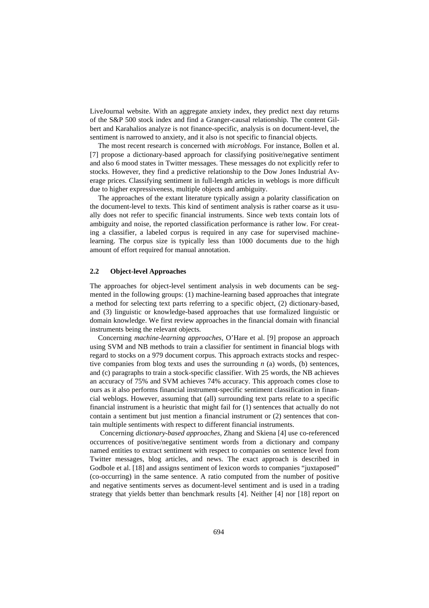LiveJournal website. With an aggregate anxiety index, they predict next day returns of the S&P 500 stock index and find a Granger-causal relationship. The content Gilbert and Karahalios analyze is not finance-specific, analysis is on document-level, the sentiment is narrowed to anxiety, and it also is not specific to financial objects.

The most recent research is concerned with *microblogs*. For instance, Bollen et al. [7] propose a dictionary-based approach for classifying positive/negative sentiment and also 6 mood states in Twitter messages. These messages do not explicitly refer to stocks. However, they find a predictive relationship to the Dow Jones Industrial Average prices. Classifying sentiment in full-length articles in weblogs is more difficult due to higher expressiveness, multiple objects and ambiguity.

The approaches of the extant literature typically assign a polarity classification on the document-level to texts. This kind of sentiment analysis is rather coarse as it usually does not refer to specific financial instruments. Since web texts contain lots of ambiguity and noise, the reported classification performance is rather low. For creating a classifier, a labeled corpus is required in any case for supervised machinelearning. The corpus size is typically less than 1000 documents due to the high amount of effort required for manual annotation.

## **2.2 Object-level Approaches**

The approaches for object-level sentiment analysis in web documents can be segmented in the following groups: (1) machine-learning based approaches that integrate a method for selecting text parts referring to a specific object, (2) dictionary-based, and (3) linguistic or knowledge-based approaches that use formalized linguistic or domain knowledge. We first review approaches in the financial domain with financial instruments being the relevant objects.

Concerning *machine-learning approaches*, O'Hare et al. [9] propose an approach using SVM and NB methods to train a classifier for sentiment in financial blogs with regard to stocks on a 979 document corpus. This approach extracts stocks and respective companies from blog texts and uses the surrounding *n* (a) words, (b) sentences, and (c) paragraphs to train a stock-specific classifier. With 25 words, the NB achieves an accuracy of 75% and SVM achieves 74% accuracy. This approach comes close to ours as it also performs financial instrument-specific sentiment classification in financial weblogs. However, assuming that (all) surrounding text parts relate to a specific financial instrument is a heuristic that might fail for (1) sentences that actually do not contain a sentiment but just mention a financial instrument or (2) sentences that contain multiple sentiments with respect to different financial instruments.

Concerning *dictionary-based approaches*, Zhang and Skiena [4] use co-referenced occurrences of positive/negative sentiment words from a dictionary and company named entities to extract sentiment with respect to companies on sentence level from Twitter messages, blog articles, and news. The exact approach is described in Godbole et al. [18] and assigns sentiment of lexicon words to companies "juxtaposed" (co-occurring) in the same sentence. A ratio computed from the number of positive and negative sentiments serves as document-level sentiment and is used in a trading strategy that yields better than benchmark results [4]. Neither [4] nor [18] report on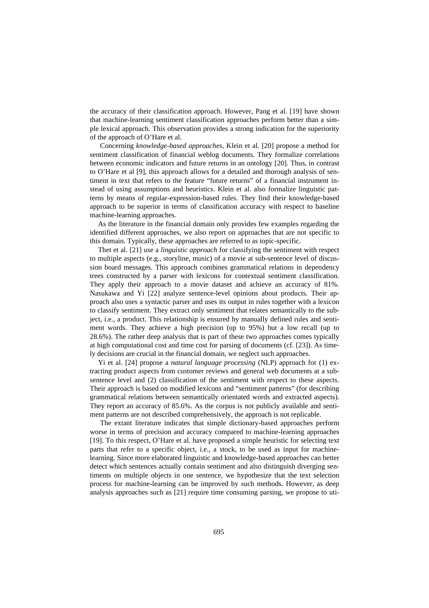the accuracy of their classification approach. However, Pang et al. [19] have shown that machine-learning sentiment classification approaches perform better than a simple lexical approach. This observation provides a strong indication for the superiority of the approach of O'Hare et al.

Concerning *knowledge-based approaches*, Klein et al. [20] propose a method for sentiment classification of financial weblog documents. They formalize correlations between economic indicators and future returns in an ontology [20]. Thus, in contrast to O'Hare et al [9], this approach allows for a detailed and thorough analysis of sentiment in text that refers to the feature "future returns" of a financial instrument instead of using assumptions and heuristics. Klein et al. also formalize linguistic patterns by means of regular-expression-based rules. They find their knowledge-based approach to be superior in terms of classification accuracy with respect to baseline machine-learning approaches.

As the literature in the financial domain only provides few examples regarding the identified different approaches, we also report on approaches that are not specific to this domain. Typically, these approaches are referred to as topic-specific.

Thet et al. [21] use a *linguistic approach* for classifying the sentiment with respect to multiple aspects (e.g., storyline, music) of a movie at sub-sentence level of discussion board messages. This approach combines grammatical relations in dependency trees constructed by a parser with lexicons for contextual sentiment classification. They apply their approach to a movie dataset and achieve an accuracy of 81%. Nasukawa and Yi [22] analyze sentence-level opinions about products. Their approach also uses a syntactic parser and uses its output in rules together with a lexicon to classify sentiment. They extract only sentiment that relates semantically to the subject, i.e., a product. This relationship is ensured by manually defined rules and sentiment words. They achieve a high precision (up to 95%) but a low recall (up to 28.6%). The rather deep analysis that is part of these two approaches comes typically at high computational cost and time cost for parsing of documents (cf. [23]). As timely decisions are crucial in the financial domain, we neglect such approaches.

Yi et al. [24] propose a *natural language processing* (NLP) approach for (1) extracting product aspects from customer reviews and general web documents at a subsentence level and (2) classification of the sentiment with respect to these aspects. Their approach is based on modified lexicons and "sentiment patterns" (for describing grammatical relations between semantically orientated words and extracted aspects). They report an accuracy of 85.6%. As the corpus is not publicly available and sentiment patterns are not described comprehensively, the approach is not replicable.

The extant literature indicates that simple dictionary-based approaches perform worse in terms of precision and accuracy compared to machine-learning approaches [19]. To this respect, O'Hare et al. have proposed a simple heuristic for selecting text parts that refer to a specific object, i.e., a stock, to be used as input for machinelearning. Since more elaborated linguistic and knowledge-based approaches can better detect which sentences actually contain sentiment and also distinguish diverging sentiments on multiple objects in one sentence, we hypothesize that the text selection process for machine-learning can be improved by such methods. However, as deep analysis approaches such as [21] require time consuming parsing, we propose to uti-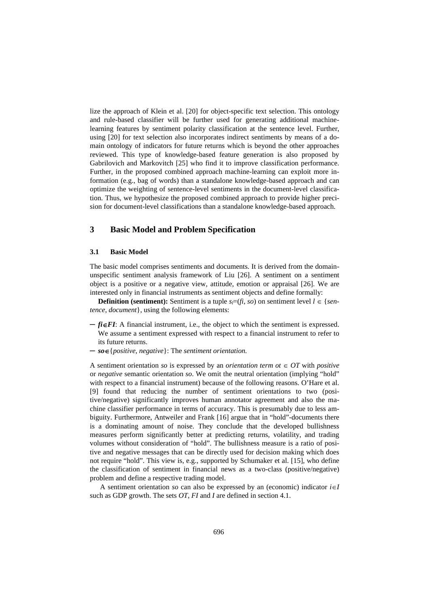lize the approach of Klein et al. [20] for object-specific text selection. This ontology and rule-based classifier will be further used for generating additional machinelearning features by sentiment polarity classification at the sentence level. Further, using [20] for text selection also incorporates indirect sentiments by means of a domain ontology of indicators for future returns which is beyond the other approaches reviewed. This type of knowledge-based feature generation is also proposed by Gabrilovich and Markovitch [25] who find it to improve classification performance. Further, in the proposed combined approach machine-learning can exploit more information (e.g., bag of words) than a standalone knowledge-based approach and can optimize the weighting of sentence-level sentiments in the document-level classification. Thus, we hypothesize the proposed combined approach to provide higher precision for document-level classifications than a standalone knowledge-based approach.

# **3 Basic Model and Problem Specification**

#### **3.1 Basic Model**

The basic model comprises sentiments and documents. It is derived from the domainunspecific sentiment analysis framework of Liu [26]. A sentiment on a sentiment object is a positive or a negative view, attitude, emotion or appraisal [26]. We are interested only in financial instruments as sentiment objects and define formally:

**Definition (sentiment):** Sentiment is a tuple  $s_i = (fi, so)$  on sentiment level  $l \in \{sen\}$ *tence*, *document*}, using the following elements:

- $\mathbf{f}$ *i* $\in$ **FI**: A financial instrument, i.e., the object to which the sentiment is expressed. We assume a sentiment expressed with respect to a financial instrument to refer to its future returns.
- $-$  so  $\in$  {*positive*, *negative* }: The *sentiment orientation.*

A sentiment orientation *so* is expressed by an *orientation term ot*  $\in$  *OT* with *positive* or *negative* semantic orientation *so*. We omit the neutral orientation (implying "hold" with respect to a financial instrument) because of the following reasons. O'Hare et al. [9] found that reducing the number of sentiment orientations to two (positive/negative) significantly improves human annotator agreement and also the machine classifier performance in terms of accuracy. This is presumably due to less ambiguity. Furthermore, Antweiler and Frank [16] argue that in "hold"-documents there is a dominating amount of noise. They conclude that the developed bullishness measures perform significantly better at predicting returns, volatility, and trading volumes without consideration of "hold". The bullishness measure is a ratio of positive and negative messages that can be directly used for decision making which does not require "hold". This view is, e.g., supported by Schumaker et al. [15], who define the classification of sentiment in financial news as a two-class (positive/negative) problem and define a respective trading model.

A sentiment orientation *so* can also be expressed by an (economic) indicator  $i \in I$ such as GDP growth. The sets *OT*, *FI* and *I* are defined in section 4.1.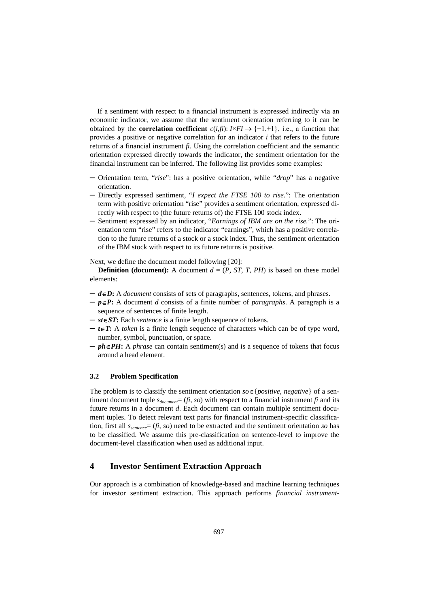If a sentiment with respect to a financial instrument is expressed indirectly via an economic indicator, we assume that the sentiment orientation referring to it can be obtained by the **correlation coefficient**  $c(i, fi)$ :  $I \times FI \rightarrow \{-1, +1\}$ , i.e., a function that provides a positive or negative correlation for an indicator *i* that refers to the future returns of a financial instrument *fi*. Using the correlation coefficient and the semantic orientation expressed directly towards the indicator, the sentiment orientation for the financial instrument can be inferred. The following list provides some examples:

- ─ Orientation term, "*rise*": has a positive orientation, while "*drop*" has a negative orientation.
- Directly expressed sentiment, "*I expect the FTSE 100 to rise*.": The orientation term with positive orientation "rise" provides a sentiment orientation, expressed directly with respect to (the future returns of) the FTSE 100 stock index.
- ─ Sentiment expressed by an indicator, "*Earnings of IBM are on the rise.*": The orientation term "rise" refers to the indicator "earnings", which has a positive correlation to the future returns of a stock or a stock index. Thus, the sentiment orientation of the IBM stock with respect to its future returns is positive.

Next, we define the document model following [20]:

**Definition (document):** A document  $d = (P, ST, T, PH)$  is based on these model elements:

- ─ *dD***:** A *document* consists of sets of paragraphs, sentences, tokens, and phrases.
- $-p \in P$ : A document *d* consists of a finite number of *paragraphs*. A paragraph is a sequence of sentences of finite length.
- ─ *stST***:** Each *sentence* is a finite length sequence of tokens.
- $\mathbf{r} = t \in \mathbf{T}$ : A *token* is a finite length sequence of characters which can be of type word, number, symbol, punctuation, or space.
- $-\rho h \in PH$ : A *phrase* can contain sentiment(s) and is a sequence of tokens that focus around a head element.

## **3.2 Problem Specification**

The problem is to classify the sentiment orientation  $so \in \{positive, negative\}$  of a sentiment document tuple  $s_{document} = (fi, so)$  with respect to a financial instrument *fi* and its future returns in a document *d*. Each document can contain multiple sentiment document tuples. To detect relevant text parts for financial instrument-specific classification, first all *ssentence*= (*fi*, *so*) need to be extracted and the sentiment orientation *so* has to be classified. We assume this pre-classification on sentence-level to improve the document-level classification when used as additional input.

# **4 Investor Sentiment Extraction Approach**

Our approach is a combination of knowledge-based and machine learning techniques for investor sentiment extraction. This approach performs *financial instrument-*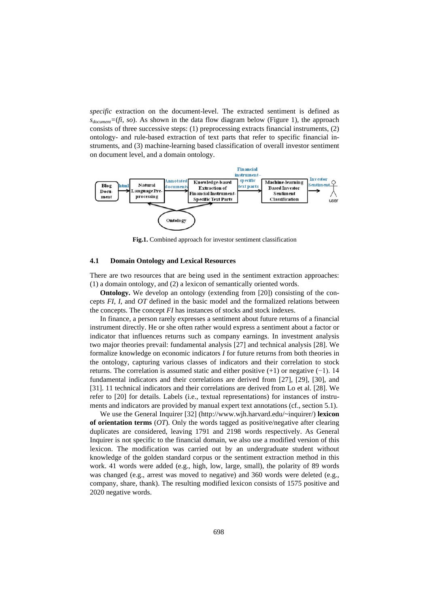*specific* extraction on the document-level. The extracted sentiment is defined as  $s_{document} = (fi, so)$ . As shown in the data flow diagram below (Figure 1), the approach consists of three successive steps: (1) preprocessing extracts financial instruments, (2) ontology- and rule-based extraction of text parts that refer to specific financial instruments, and (3) machine-learning based classification of overall investor sentiment on document level, and a domain ontology.



**Fig.1.** Combined approach for investor sentiment classification

#### **4.1 Domain Ontology and Lexical Resources**

There are two resources that are being used in the sentiment extraction approaches: (1) a domain ontology, and (2) a lexicon of semantically oriented words.

**Ontology.** We develop an ontology (extending from [20]) consisting of the concepts *FI*, *I,* and *OT* defined in the basic model and the formalized relations between the concepts. The concept *FI* has instances of stocks and stock indexes.

In finance, a person rarely expresses a sentiment about future returns of a financial instrument directly. He or she often rather would express a sentiment about a factor or indicator that influences returns such as company earnings. In investment analysis two major theories prevail: fundamental analysis [27] and technical analysis [28]. We formalize knowledge on economic indicators *I* for future returns from both theories in the ontology, capturing various classes of indicators and their correlation to stock returns. The correlation is assumed static and either positive (+1) or negative (−1). 14 fundamental indicators and their correlations are derived from [27], [29], [30], and [31]. 11 technical indicators and their correlations are derived from Lo et al. [28]. We refer to [20] for details. Labels (i.e., textual representations) for instances of instruments and indicators are provided by manual expert text annotations (cf., section 5.1).

We use the General Inquirer [32] (http://www.wjh.harvard.edu/~inquirer/) **lexicon of orientation terms** (*OT*). Only the words tagged as positive/negative after clearing duplicates are considered, leaving 1791 and 2198 words respectively. As General Inquirer is not specific to the financial domain, we also use a modified version of this lexicon. The modification was carried out by an undergraduate student without knowledge of the golden standard corpus or the sentiment extraction method in this work. 41 words were added (e.g., high, low, large, small), the polarity of 89 words was changed (e.g., arrest was moved to negative) and 360 words were deleted (e.g., company, share, thank). The resulting modified lexicon consists of 1575 positive and 2020 negative words.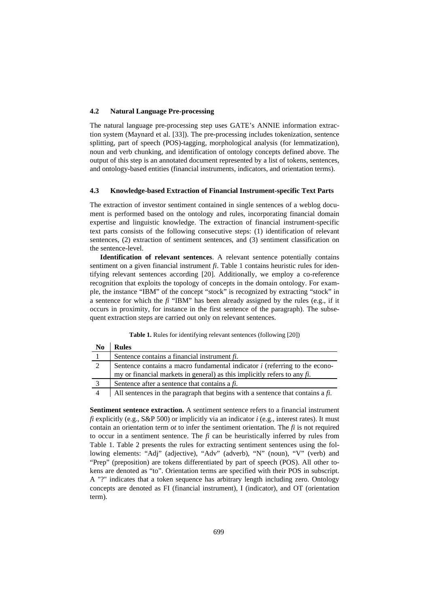#### **4.2 Natural Language Pre-processing**

The natural language pre-processing step uses GATE's ANNIE information extraction system (Maynard et al. [33]). The pre-processing includes tokenization, sentence splitting, part of speech (POS)-tagging, morphological analysis (for lemmatization), noun and verb chunking, and identification of ontology concepts defined above. The output of this step is an annotated document represented by a list of tokens, sentences, and ontology-based entities (financial instruments, indicators, and orientation terms).

#### **4.3 Knowledge-based Extraction of Financial Instrument-specific Text Parts**

The extraction of investor sentiment contained in single sentences of a weblog document is performed based on the ontology and rules, incorporating financial domain expertise and linguistic knowledge. The extraction of financial instrument-specific text parts consists of the following consecutive steps: (1) identification of relevant sentences, (2) extraction of sentiment sentences, and (3) sentiment classification on the sentence-level.

**Identification of relevant sentences**. A relevant sentence potentially contains sentiment on a given financial instrument *fi*. Table 1 contains heuristic rules for identifying relevant sentences according [20]. Additionally, we employ a co-reference recognition that exploits the topology of concepts in the domain ontology. For example, the instance "IBM" of the concept "stock" is recognized by extracting "stock" in a sentence for which the *fi* "IBM" has been already assigned by the rules (e.g., if it occurs in proximity, for instance in the first sentence of the paragraph). The subsequent extraction steps are carried out only on relevant sentences.

| Table 1. Rules for identifying relevant sentences (following [20]) |  |
|--------------------------------------------------------------------|--|
|--------------------------------------------------------------------|--|

| N <sub>0</sub> | <b>Rules</b>                                                                     |  |  |  |
|----------------|----------------------------------------------------------------------------------|--|--|--|
|                | Sentence contains a financial instrument $fi$ .                                  |  |  |  |
| 2              | Sentence contains a macro fundamental indicator $i$ (referring to the econo-     |  |  |  |
|                | my or financial markets in general) as this implicitly refers to any $fi$ .      |  |  |  |
|                | Sentence after a sentence that contains a $fi$ .                                 |  |  |  |
|                | All sentences in the paragraph that begins with a sentence that contains $afi$ . |  |  |  |

**Sentiment sentence extraction.** A sentiment sentence refers to a financial instrument *fi* explicitly (e.g., S&P 500) or implicitly via an indicator *i* (e.g., interest rates). It must contain an orientation term *ot* to infer the sentiment orientation. The *fi* is not required to occur in a sentiment sentence. The *fi* can be heuristically inferred by rules from Table 1. Table 2 presents the rules for extracting sentiment sentences using the following elements: "Adj" (adjective), "Adv" (adverb), "N" (noun), "V" (verb) and "Prep" (preposition) are tokens differentiated by part of speech (POS). All other tokens are denoted as "to". Orientation terms are specified with their POS in subscript. A "?" indicates that a token sequence has arbitrary length including zero. Ontology concepts are denoted as FI (financial instrument), I (indicator), and OT (orientation term).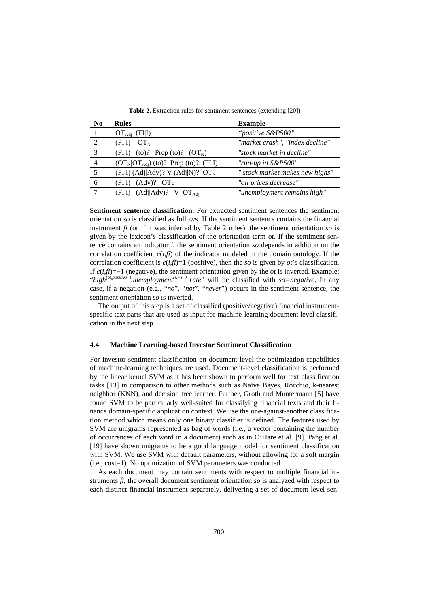| N <sub>0</sub> | <b>Rules</b>                                   | <b>Example</b>                  |
|----------------|------------------------------------------------|---------------------------------|
|                | $OT_{Adj}$ (FII)                               | "positive S&P500"               |
| 2              | $\langle \text{FII} \rangle$ $\text{OT}_N$     | "market crash", "index decline" |
| 3              | (FII) (to)? Prep (to)? $(OT_N)$                | "stock market in decline"       |
| $\overline{4}$ | $(OTN OTAdj)$ (to)? Prep (to)? (FII)           | "run-up in S&P500"              |
| 5              | $(FI I)$ (Adj Adv)? V (Adj N)? OT <sub>N</sub> | " stock market makes new highs" |
| 6              | $(FIII)$ (Adv)? $OT_{V}$                       | "oil prices decrease"           |
| 7              | (FIII) (Adj Adv)? V $OT_{\text{Adi}}$          | "unemployment remains high"     |

**Table 2.** Extraction rules for sentiment sentences (extending [20])

**Sentiment sentence classification.** For extracted sentiment sentences the sentiment orientation *so* is classified as follows. If the sentiment sentence contains the financial instrument  $f_i$  (or if it was inferred by Table 2 rules), the sentiment orientation  $s$ *o* is given by the lexicon's classification of the orientation term *ot*. If the sentiment sentence contains an indicator *i*, the sentiment orientation *so* depends in addition on the correlation coefficient  $c(i, f_i)$  of the indicator modeled in the domain ontology. If the correlation coefficient is  $c(i, \hat{f})=1$  (positive), then the *so* is given by *ot*'s classification. If  $c(i, fi) = -1$  (negative), the sentiment orientation given by the *ot* is inverted. Example: "*high(ot,positive )unemployment(i,−1 ) rate*" will be classified with *so=negative*. In any case, if a negation (e.g., "*no*", "*not*", "*never*") occurs in the sentiment sentence, the sentiment orientation *so* is inverted.

The output of this step is a set of classified (positive/negative) financial instrumentspecific text parts that are used as input for machine-learning document level classification in the next step.

#### **4.4 Machine Learning-based Investor Sentiment Classification**

For investor sentiment classification on document-level the optimization capabilities of machine-learning techniques are used. Document-level classification is performed by the linear kernel SVM as it has been shown to perform well for text classification tasks [13] in comparison to other methods such as Naïve Bayes, Rocchio, k-nearest neighbor (KNN), and decision tree learner. Further, Groth and Muntermann [5] have found SVM to be particularly well-suited for classifying financial texts and their finance domain-specific application context. We use the one-against-another classification method which means only one binary classifier is defined. The features used by SVM are unigrams represented as bag of words (i.e., a vector containing the number of occurrences of each word in a document) such as in O'Hare et al. [9]. Pang et al. [19] have shown unigrams to be a good language model for sentiment classification with SVM. We use SVM with default parameters, without allowing for a soft margin (i.e., cost=1). No optimization of SVM parameters was conducted.

As each document may contain sentiments with respect to multiple financial instruments *fi*, the overall document sentiment orientation *so* is analyzed with respect to each distinct financial instrument separately, delivering a set of document-level sen-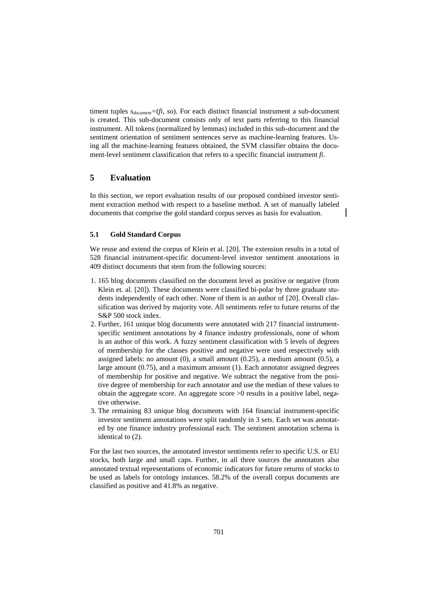timent tuples *sdocument=*(*fi*, *so*). For each distinct financial instrument a sub-document is created. This sub-document consists only of text parts referring to this financial instrument. All tokens (normalized by lemmas) included in this sub-document and the sentiment orientation of sentiment sentences serve as machine-learning features. Using all the machine-learning features obtained, the SVM classifier obtains the document-level sentiment classification that refers to a specific financial instrument *fi*.

# **5 Evaluation**

In this section, we report evaluation results of our proposed combined investor sentiment extraction method with respect to a baseline method. A set of manually labeled documents that comprise the gold standard corpus serves as basis for evaluation.

#### **5.1 Gold Standard Corpus**

We reuse and extend the corpus of Klein et al. [20]. The extension results in a total of 528 financial instrument-specific document-level investor sentiment annotations in 409 distinct documents that stem from the following sources:

- 1. 165 blog documents classified on the document level as positive or negative (from Klein et. al. [20]). These documents were classified bi-polar by three graduate students independently of each other. None of them is an author of [20]. Overall classification was derived by majority vote. All sentiments refer to future returns of the S&P 500 stock index.
- 2. Further, 161 unique blog documents were annotated with 217 financial instrumentspecific sentiment annotations by 4 finance industry professionals, none of whom is an author of this work. A fuzzy sentiment classification with 5 levels of degrees of membership for the classes positive and negative were used respectively with assigned labels: no amount  $(0)$ , a small amount  $(0.25)$ , a medium amount  $(0.5)$ , a large amount (0.75), and a maximum amount (1). Each annotator assigned degrees of membership for positive and negative. We subtract the negative from the positive degree of membership for each annotator and use the median of these values to obtain the aggregate score. An aggregate score >0 results in a positive label, negative otherwise.
- 3. The remaining 83 unique blog documents with 164 financial instrument-specific investor sentiment annotations were split randomly in 3 sets. Each set was annotated by one finance industry professional each. The sentiment annotation schema is identical to (2).

For the last two sources, the annotated investor sentiments refer to specific U.S. or EU stocks, both large and small caps. Further, in all three sources the annotators also annotated textual representations of economic indicators for future returns of stocks to be used as labels for ontology instances. 58.2% of the overall corpus documents are classified as positive and 41.8% as negative.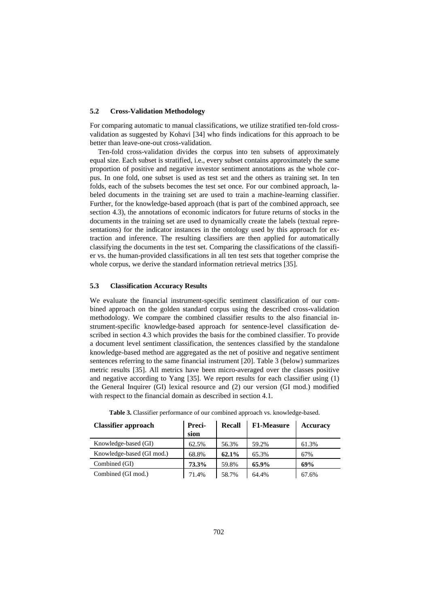#### **5.2 Cross-Validation Methodology**

For comparing automatic to manual classifications, we utilize stratified ten-fold crossvalidation as suggested by Kohavi [34] who finds indications for this approach to be better than leave-one-out cross-validation.

Ten-fold cross-validation divides the corpus into ten subsets of approximately equal size. Each subset is stratified, i.e., every subset contains approximately the same proportion of positive and negative investor sentiment annotations as the whole corpus. In one fold, one subset is used as test set and the others as training set. In ten folds, each of the subsets becomes the test set once. For our combined approach, labeled documents in the training set are used to train a machine-learning classifier. Further, for the knowledge-based approach (that is part of the combined approach, see section 4.3), the annotations of economic indicators for future returns of stocks in the documents in the training set are used to dynamically create the labels (textual representations) for the indicator instances in the ontology used by this approach for extraction and inference. The resulting classifiers are then applied for automatically classifying the documents in the test set. Comparing the classifications of the classifier vs. the human-provided classifications in all ten test sets that together comprise the whole corpus, we derive the standard information retrieval metrics [35].

#### **5.3 Classification Accuracy Results**

We evaluate the financial instrument-specific sentiment classification of our combined approach on the golden standard corpus using the described cross-validation methodology. We compare the combined classifier results to the also financial instrument-specific knowledge-based approach for sentence-level classification described in section 4.3 which provides the basis for the combined classifier. To provide a document level sentiment classification, the sentences classified by the standalone knowledge-based method are aggregated as the net of positive and negative sentiment sentences referring to the same financial instrument [20]. Table 3 (below) summarizes metric results [35]. All metrics have been micro-averaged over the classes positive and negative according to Yang [35]. We report results for each classifier using (1) the General Inquirer (GI) lexical resource and (2) our version (GI mod.) modified with respect to the financial domain as described in section 4.1.

| <b>Classifier approach</b> | Preci-<br>sion | Recall | F1-Measure | <b>Accuracy</b> |
|----------------------------|----------------|--------|------------|-----------------|
| Knowledge-based (GI)       | 62.5%          | 56.3%  | 59.2%      | 61.3%           |
| Knowledge-based (GI mod.)  | 68.8%          | 62.1%  | 65.3%      | 67%             |
| Combined (GI)              | 73.3%          | 59.8%  | 65.9%      | 69%             |
| Combined (GI mod.)         | 71.4%          | 58.7%  | 64.4%      | 67.6%           |

**Table 3.** Classifier performance of our combined approach vs. knowledge-based.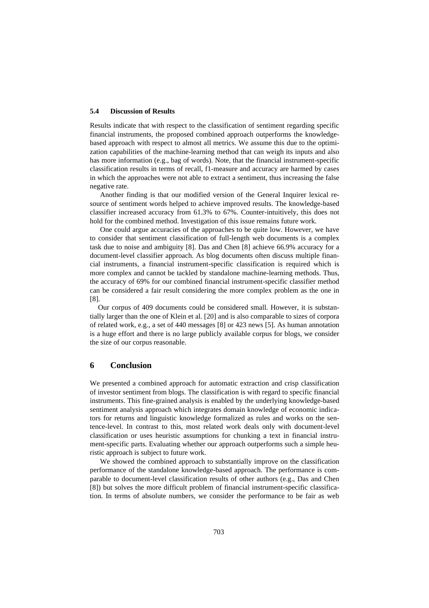#### **5.4 Discussion of Results**

Results indicate that with respect to the classification of sentiment regarding specific financial instruments, the proposed combined approach outperforms the knowledgebased approach with respect to almost all metrics. We assume this due to the optimization capabilities of the machine-learning method that can weigh its inputs and also has more information (e.g., bag of words). Note, that the financial instrument-specific classification results in terms of recall, f1-measure and accuracy are harmed by cases in which the approaches were not able to extract a sentiment, thus increasing the false negative rate.

Another finding is that our modified version of the General Inquirer lexical resource of sentiment words helped to achieve improved results. The knowledge-based classifier increased accuracy from 61.3% to 67%. Counter-intuitively, this does not hold for the combined method. Investigation of this issue remains future work.

One could argue accuracies of the approaches to be quite low. However, we have to consider that sentiment classification of full-length web documents is a complex task due to noise and ambiguity [8]. Das and Chen [8] achieve 66.9% accuracy for a document-level classifier approach. As blog documents often discuss multiple financial instruments, a financial instrument-specific classification is required which is more complex and cannot be tackled by standalone machine-learning methods. Thus, the accuracy of 69% for our combined financial instrument-specific classifier method can be considered a fair result considering the more complex problem as the one in [8].

Our corpus of 409 documents could be considered small. However, it is substantially larger than the one of Klein et al. [20] and is also comparable to sizes of corpora of related work, e.g., a set of 440 messages [8] or 423 news [5]. As human annotation is a huge effort and there is no large publicly available corpus for blogs, we consider the size of our corpus reasonable.

#### **6 Conclusion**

We presented a combined approach for automatic extraction and crisp classification of investor sentiment from blogs. The classification is with regard to specific financial instruments. This fine-grained analysis is enabled by the underlying knowledge-based sentiment analysis approach which integrates domain knowledge of economic indicators for returns and linguistic knowledge formalized as rules and works on the sentence-level. In contrast to this, most related work deals only with document-level classification or uses heuristic assumptions for chunking a text in financial instrument-specific parts. Evaluating whether our approach outperforms such a simple heuristic approach is subject to future work.

We showed the combined approach to substantially improve on the classification performance of the standalone knowledge-based approach. The performance is comparable to document-level classification results of other authors (e.g., Das and Chen [8]) but solves the more difficult problem of financial instrument-specific classification. In terms of absolute numbers, we consider the performance to be fair as web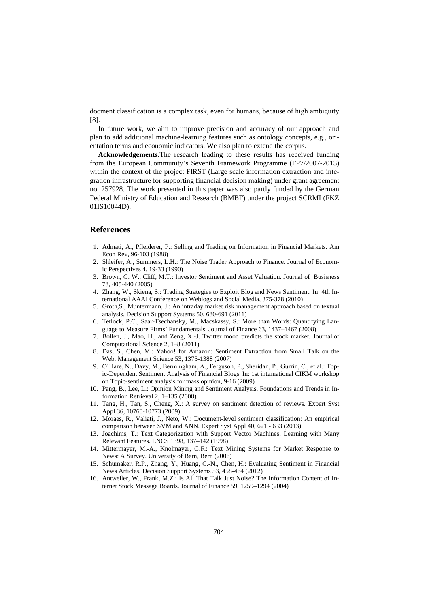docment classification is a complex task, even for humans, because of high ambiguity [8].

In future work, we aim to improve precision and accuracy of our approach and plan to add additional machine-learning features such as ontology concepts, e.g., orientation terms and economic indicators. We also plan to extend the corpus.

**Acknowledgements.**The research leading to these results has received funding from the European Community's Seventh Framework Programme (FP7/2007-2013) within the context of the project FIRST (Large scale information extraction and integration infrastructure for supporting financial decision making) under grant agreement no. 257928. The work presented in this paper was also partly funded by the German Federal Ministry of Education and Research (BMBF) under the project SCRMI (FKZ 01IS10044D).

## **References**

- 1. Admati, A., Pfleiderer, P.: Selling and Trading on Information in Financial Markets. Am Econ Rev, 96-103 (1988)
- 2. Shleifer, A., Summers, L.H.: The Noise Trader Approach to Finance. Journal of Economic Perspectives 4, 19-33 (1990)
- 3. Brown, G. W., Cliff, M.T.: Investor Sentiment and Asset Valuation. Journal of Busisness 78, 405-440 (2005)
- 4. Zhang, W., Skiena, S.: Trading Strategies to Exploit Blog and News Sentiment. In: 4th International AAAI Conference on Weblogs and Social Media, 375-378 (2010)
- 5. Groth,S., Muntermann, J.: An intraday market risk management approach based on textual analysis. Decision Support Systems 50, 680-691 (2011)
- 6. Tetlock, P.C., Saar-Tsechansky, M., Macskassy, S.: More than Words: Quantifying Language to Measure Firms' Fundamentals. Journal of Finance 63, 1437–1467 (2008)
- 7. Bollen, J., Mao, H., and Zeng, X.-J. Twitter mood predicts the stock market. Journal of Computational Science 2, 1–8 (2011)
- 8. Das, S., Chen, M.: Yahoo! for Amazon: Sentiment Extraction from Small Talk on the Web. Management Science 53, 1375-1388 (2007)
- 9. O'Hare, N., Davy, M., Bermingham, A., Ferguson, P., Sheridan, P., Gurrin, C., et al.: Topic-Dependent Sentiment Analysis of Financial Blogs. In: 1st international CIKM workshop on Topic-sentiment analysis for mass opinion, 9-16 (2009)
- 10. Pang, B., Lee, L.: Opinion Mining and Sentiment Analysis. Foundations and Trends in Information Retrieval 2, 1–135 (2008)
- 11. Tang, H., Tan, S., Cheng, X.: A survey on sentiment detection of reviews. Expert Syst Appl 36, 10760-10773 (2009)
- 12. Moraes, R., Valiati, J., Neto, W.: Document-level sentiment classification: An empirical comparison between SVM and ANN. Expert Syst Appl 40, 621 - 633 (2013)
- 13. Joachims, T.: Text Categorization with Support Vector Machines: Learning with Many Relevant Features. LNCS 1398, 137–142 (1998)
- 14. Mittermayer, M.-A., Knolmayer, G.F.: Text Mining Systems for Market Response to News: A Survey. University of Bern, Bern (2006)
- 15. Schumaker, R.P., Zhang, Y., Huang, C.-N., Chen, H.: Evaluating Sentiment in Financial News Articles. Decision Support Systems 53, 458-464 (2012)
- 16. Antweiler, W., Frank, M.Z.: Is All That Talk Just Noise? The Information Content of Internet Stock Message Boards. Journal of Finance 59, 1259–1294 (2004)